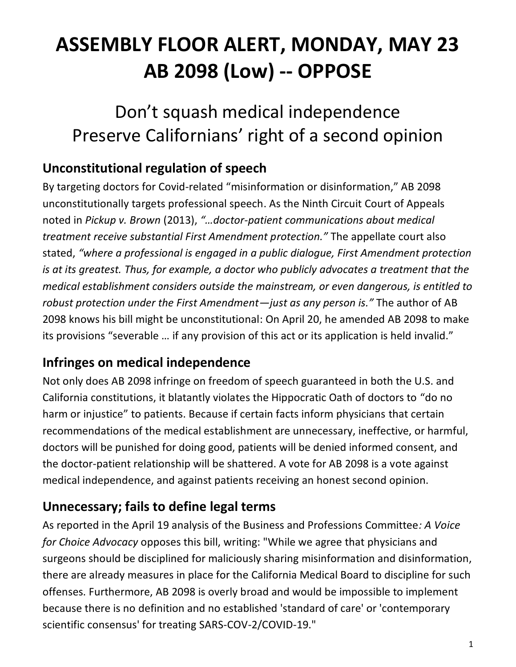# **ASSEMBLY FLOOR ALERT, MONDAY, MAY 23 AB 2098 (Low) -- OPPOSE**

## Don't squash medical independence Preserve Californians' right of a second opinion

## **Unconstitutional regulation of speech**

By targeting doctors for Covid-related "misinformation or disinformation," AB 2098 unconstitutionally targets professional speech. As the Ninth Circuit Court of Appeals noted in *Pickup v. Brown* (2013), *"…doctor-patient communications about medical treatment receive substantial First Amendment protection."* The appellate court also stated, *"where a professional is engaged in a public dialogue, First Amendment protection is at its greatest. Thus, for example, a doctor who publicly advocates a treatment that the medical establishment considers outside the mainstream, or even dangerous, is entitled to robust protection under the First Amendment—just as any person is."* The author of AB 2098 knows his bill might be unconstitutional: On April 20, he amended AB 2098 to make its provisions "severable … if any provision of this act or its application is held invalid."

### **Infringes on medical independence**

Not only does AB 2098 infringe on freedom of speech guaranteed in both the U.S. and California constitutions, it blatantly violates the Hippocratic Oath of doctors to "do no harm or injustice" to patients. Because if certain facts inform physicians that certain recommendations of the medical establishment are unnecessary, ineffective, or harmful, doctors will be punished for doing good, patients will be denied informed consent, and the doctor-patient relationship will be shattered. A vote for AB 2098 is a vote against medical independence, and against patients receiving an honest second opinion.

### **Unnecessary; fails to define legal terms**

As reported in the April 19 analysis of the Business and Professions Committee*: A Voice for Choice Advocacy* opposes this bill, writing: "While we agree that physicians and surgeons should be disciplined for maliciously sharing misinformation and disinformation, there are already measures in place for the California Medical Board to discipline for such offenses. Furthermore, AB 2098 is overly broad and would be impossible to implement because there is no definition and no established 'standard of care' or 'contemporary scientific consensus' for treating SARS-COV-2/COVID-19."